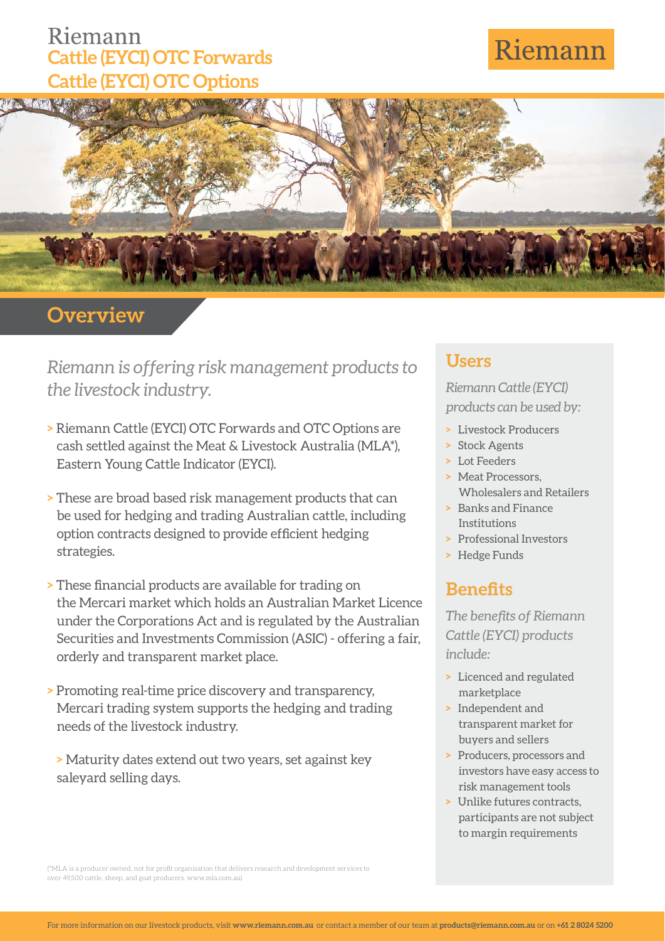## Riemann **Cattle (EYCI) OTC Forwards Cattle (EYCI) OTC Options**

# Riemann



## **Overview**

*Riemann is offering risk management products to the livestock industry.*

- **>** Riemann Cattle (EYCI) OTC Forwards and OTC Options are cash settled against the Meat & Livestock Australia (MLA\*), Eastern Young Cattle Indicator (EYCI).
- **>** These are broad based risk management products that can be used for hedging and trading Australian cattle, including option contracts designed to provide efficient hedging strategies.
- **> These financial products are available for trading on** the Mercari market which holds an Australian Market Licence under the Corporations Act and is regulated by the Australian Securities and Investments Commission (ASIC) - offering a fair, orderly and transparent market place.
- **>** Promoting real-time price discovery and transparency, Mercari trading system supports the hedging and trading needs of the livestock industry.

**>** Maturity dates extend out two years, set against key saleyard selling days.

### **Users**

#### *Riemann Cattle (EYCI) products can be used by:*

- **>** Livestock Producers
- **>** Stock Agents
- **>** Lot Feeders
- **>** Meat Processors, Wholesalers and Retailers
- **>** Banks and Finance Institutions
- **>** Professional Investors
- **>** Hedge Funds

## **Benefits**

**The benefits of Riemann** *Cattle (EYCI) products include:*

- **>** Licenced and regulated marketplace
- **>** Independent and transparent market for buyers and sellers
- **>** Producers, processors and investors have easy access to risk management tools
- **>** Unlike futures contracts, participants are not subject to margin requirements

(\*MLA is a producer owned, not for profit organisation that delivers research and development services to over 49,500 cattle, sheep, and goat producers. www.mla.com.au)